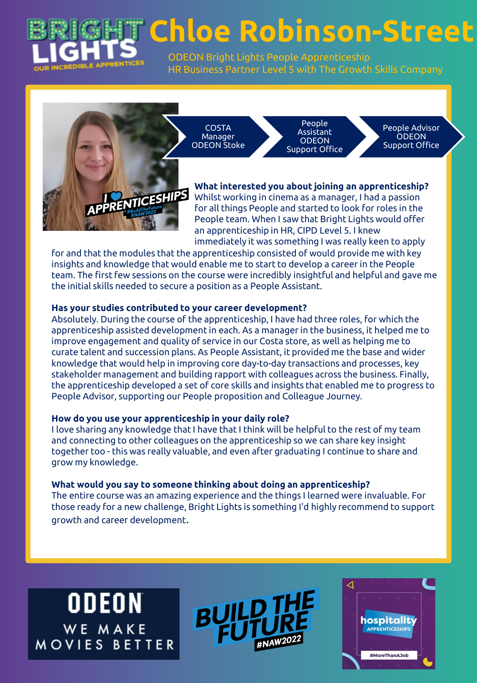

**Chloe Robinson-Street**

ODEON Bright Lights People Apprenticeship HR Business Partner Level 5 with The Growth Skills Company

**COSTA** Manager ODEON Stoke

People Assistant **ODEON** Support Office

People Advisor **ODEON** Support Office

**What interested you about joining an apprenticeship?** Whilst working in cinema as a manager, I had a passion for all things People and started to look for roles in the People team. When I saw that Bright Lights would offer an apprenticeship in HR, CIPD Level 5. I knew immediately it was something I was really keen to apply

for and that the modules that the apprenticeship consisted of would provide me with key insights and knowledge that would enable me to start to develop a career in the People team. The first few sessions on the course were incredibly insightful and helpful and gave me the initial skills needed to secure a position as a People Assistant.

# **Has your studies contributed to your career development?**

**PRENTICESHIPS** 

Absolutely. During the course of the apprenticeship, I have had three roles, for which the apprenticeship assisted development in each. As a manager in the business, it helped me to improve engagement and quality of service in our Costa store, as well as helping me to curate talent and succession plans. As People Assistant, it provided me the base and wider knowledge that would help in improving core day-to-day transactions and processes, key stakeholder management and building rapport with colleagues across the business. Finally, the apprenticeship developed a set of core skills and insights that enabled me to progress to People Advisor, supporting our People proposition and Colleague Journey.

## **How do you use your apprenticeship in your daily role?**

I love sharing any knowledge that I have that I think will be helpful to the rest of my team and connecting to other colleagues on the apprenticeship so we can share key insight together too - this was really valuable, and even after graduating I continue to share and grow my knowledge.

## **What would you say to someone thinking about doing an apprenticeship?**

The entire course was an amazing experience and the things I learned were invaluable. For those ready for a new challenge, Bright Lights is something I'd highly recommend to support growth and career development.

**ODEON** WE MAKE **MOVIES BETTER** 



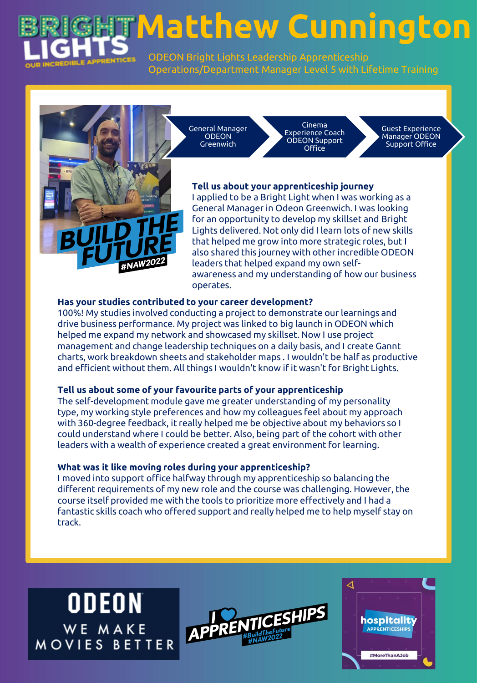

**Matthew Cunnington**

ODEON Bright Lights Leadership Apprenticeship Operations/Department Manager Level 5 with Lifetime Training

General Manager **ODEON** Greenwich

Cinema Experience Coach ODEON Support Office

Guest Experience Manager ODEON Support Office

# **Tell us about your apprenticeship journey**

I applied to be a Bright Light when I was working as a General Manager in Odeon Greenwich. I was looking for an opportunity to develop my skillset and Bright Lights delivered. Not only did I learn lots of new skills that helped me grow into more strategic roles, but I also shared this journey with other incredible ODEON leaders that helped expand my own selfawareness and my understanding of how our business operates.

### **Has your studies contributed to your career development?**

100%! My studies involved conducting a project to demonstrate our learnings and drive business performance. My project was linked to big launch in ODEON which helped me expand my network and showcased my skillset. Now I use project management and change leadership techniques on a daily basis, and I create Gannt charts, work breakdown sheets and stakeholder maps . I wouldn't be half as productive and efficient without them. All things I wouldn't know if it wasn't for Bright Lights.

#### **Tell us about some of your favourite parts of your apprenticeship**

The self-development module gave me greater understanding of my personality type, my working style preferences and how my colleagues feel about my approach with 360-degree feedback, it really helped me be objective about my behaviors so I could understand where I could be better. Also, being part of the cohort with other leaders with a wealth of experience created a great environment for learning.

#### **What was it like moving roles during your apprenticeship?**

I moved into support office halfway through my apprenticeship so balancing the different requirements of my new role and the course was challenging. However, the course itself provided me with the tools to prioritize more effectively and I had a fantastic skills coach who offered support and really helped me to help myself stay on track.

**ODEON** WE MAKE MOVIES BETTER